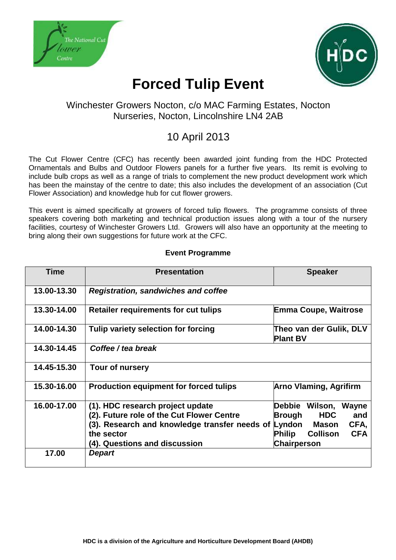



# **Forced Tulip Event**

### Winchester Growers Nocton, c/o MAC Farming Estates, Nocton Nurseries, Nocton, Lincolnshire LN4 2AB

## 10 April 2013

The Cut Flower Centre (CFC) has recently been awarded joint funding from the HDC Protected Ornamentals and Bulbs and Outdoor Flowers panels for a further five years. Its remit is evolving to include bulb crops as well as a range of trials to complement the new product development work which has been the mainstay of the centre to date; this also includes the development of an association (Cut Flower Association) and knowledge hub for cut flower growers.

This event is aimed specifically at growers of forced tulip flowers. The programme consists of three speakers covering both marketing and technical production issues along with a tour of the nursery facilities, courtesy of Winchester Growers Ltd. Growers will also have an opportunity at the meeting to bring along their own suggestions for future work at the CFC.

| <b>Time</b> | <b>Presentation</b>                                                                                                                                                                  | <b>Speaker</b>                                                                                                                                            |
|-------------|--------------------------------------------------------------------------------------------------------------------------------------------------------------------------------------|-----------------------------------------------------------------------------------------------------------------------------------------------------------|
| 13.00-13.30 | <b>Registration, sandwiches and coffee</b>                                                                                                                                           |                                                                                                                                                           |
| 13.30-14.00 | <b>Retailer requirements for cut tulips</b>                                                                                                                                          | <b>Emma Coupe, Waitrose</b>                                                                                                                               |
| 14.00-14.30 | Tulip variety selection for forcing                                                                                                                                                  | Theo van der Gulik, DLV<br><b>Plant BV</b>                                                                                                                |
| 14.30-14.45 | Coffee / tea break                                                                                                                                                                   |                                                                                                                                                           |
| 14.45-15.30 | Tour of nursery                                                                                                                                                                      |                                                                                                                                                           |
| 15.30-16.00 | <b>Production equipment for forced tulips</b>                                                                                                                                        | <b>Arno Vlaming, Agrifirm</b>                                                                                                                             |
| 16.00-17.00 | (1). HDC research project update<br>(2). Future role of the Cut Flower Centre<br>(3). Research and knowledge transfer needs of Lyndon<br>the sector<br>(4). Questions and discussion | <b>Debbie</b><br>Wilson,<br>Wayne<br><b>HDC</b><br>and<br>Brough<br>CFA,<br>Mason<br><b>CFA</b><br><b>Philip</b><br><b>Collison</b><br><b>Chairperson</b> |
| 17.00       | <b>Depart</b>                                                                                                                                                                        |                                                                                                                                                           |

#### **Event Programme**